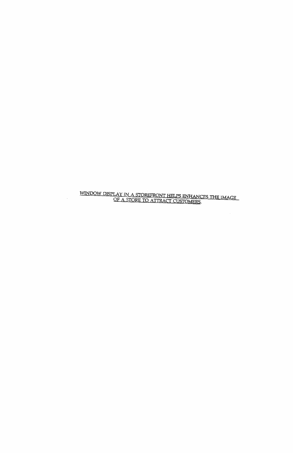$\frac{\text{WINDOW DISPLAN IN A STOREFRONT HELPS ENHANCES THE IMAGE}}{\text{OF A STORE TO ATTRACT CUSTOMERS}}.$ 

 $\mathcal{A}^{\mathcal{A}}$ 

 $\lambda$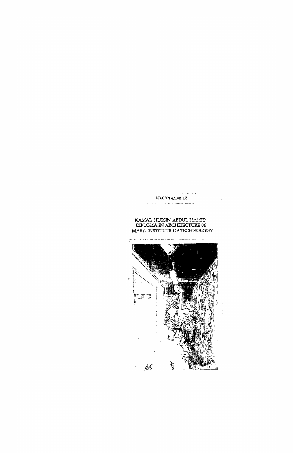

KAMAL HUSSIN ABDUL HAMID DIPLOMA IN ARCHITECTURE 06 MARA INSTITUTE OF TECHNOLOGY





 $\ddot{\phantom{a}}$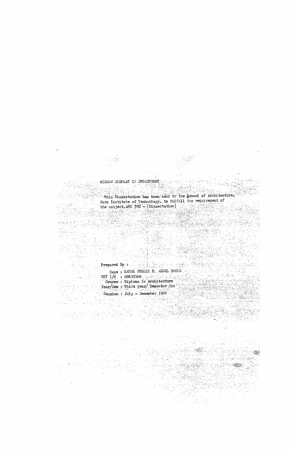## WINDOW DISPLAY IN STOREFRONT

ż

This Dissertation has been sent to the School of Architecture, Mara Institute of Technology, to fulfill the requirement of the subject,  $ABC$  392 -  $(Di)$  ssertation)

a Militar III (n. 1959)<br>1992: Alemania Maria (n. 1959)<br>1923: Alemania Maria (n. 1969) Prepared By : Name: KAMAL HUSSIN B. ABDUL HAMID **MTT**  $I/C$ ,  $= 88638506$ 

Course: Diploma In Architecture Year/Sem : Third year/ Semester Six

Session :  $July = Decomber 1991$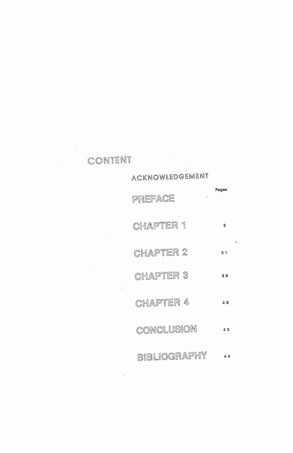Pages PREFACE CHAPTER 1  $\overline{\mathbf{3}}$  $\mathcal{L}_{\mathcal{A}}$ CHAPTER 2  $21$ **CHAPTER 3**  $30$ CHAPTER 4 40

ACKNOWLEDGEMENT



 $\label{eq:2} \frac{1}{\sqrt{2}}\left(\frac{1}{\sqrt{2}}\right)^{2} \left(\frac{1}{\sqrt{2}}\right)^{2} \left(\frac{1}{\sqrt{2}}\right)^{2} \left(\frac{1}{\sqrt{2}}\right)^{2} \left(\frac{1}{\sqrt{2}}\right)^{2} \left(\frac{1}{\sqrt{2}}\right)^{2} \left(\frac{1}{\sqrt{2}}\right)^{2} \left(\frac{1}{\sqrt{2}}\right)^{2} \left(\frac{1}{\sqrt{2}}\right)^{2} \left(\frac{1}{\sqrt{2}}\right)^{2} \left(\frac{1}{\sqrt{2}}\right)^{2} \left(\frac{$ 

USION

43



 $\sim 10^{11}$ 

 $\mathbb{Z}^{\mathbb{R}}$ 

## BIBLIOGRAPHY ..